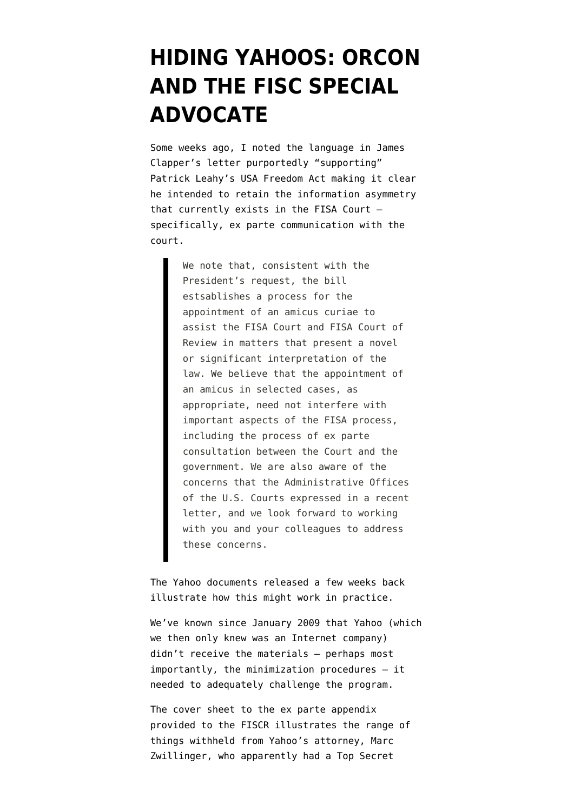## **[HIDING YAHOOS: ORCON](https://www.emptywheel.net/2014/10/01/hiding-yahoos-orcon-and-the-fisc-special-advocate/) [AND THE FISC SPECIAL](https://www.emptywheel.net/2014/10/01/hiding-yahoos-orcon-and-the-fisc-special-advocate/) [ADVOCATE](https://www.emptywheel.net/2014/10/01/hiding-yahoos-orcon-and-the-fisc-special-advocate/)**

Some weeks ago, I [noted](http://www.emptywheel.net/2014/09/05/james-clapper-bates-stamp-and-gutting-the-fisa-advocate/) the language in James Clapper's [letter](http://www.emptywheel.net/wp-content/uploads/2014/09/140902-Clapper-Leahy-Letter.pdf) purportedly "supporting" Patrick Leahy's USA Freedom Act making it clear he intended to retain the information asymmetry that currently exists in the FISA Court specifically, ex parte communication with the court.

> We note that, consistent with the President's request, the bill estsablishes a process for the appointment of an amicus curiae to assist the FISA Court and FISA Court of Review in matters that present a novel or significant interpretation of the law. We believe that the appointment of an amicus in selected cases, as appropriate, need not interfere with important aspects of the FISA process, including the process of ex parte consultation between the Court and the government. We are also aware of the concerns that the Administrative Offices of the U.S. Courts expressed in a recent letter, and we look forward to working with you and your colleagues to address these concerns.

The [Yahoo documents released a few weeks back](http://icontherecord.tumblr.com/post/97251906083/statement-by-the-office-of-the-director-of) [illustrate](http://icontherecord.tumblr.com/post/97251906083/statement-by-the-office-of-the-director-of) how this might work in practice.

We've [known since January 2009](http://www.emptywheel.net/2013/06/14/feingold-yahoo-blind/) that Yahoo (which we then only knew was an Internet company) didn't receive the materials — perhaps most importantly, the minimization procedures — it needed to adequately challenge the program.

The [cover sheet to the ex parte appendix](http://www.dni.gov/files/documents/0909/Ex%20Parte%20Appendix%20Cover%20Sheet.pdf) provided to the FISCR illustrates the range of things withheld from Yahoo's attorney, Marc Zwillinger, who apparently had a Top Secret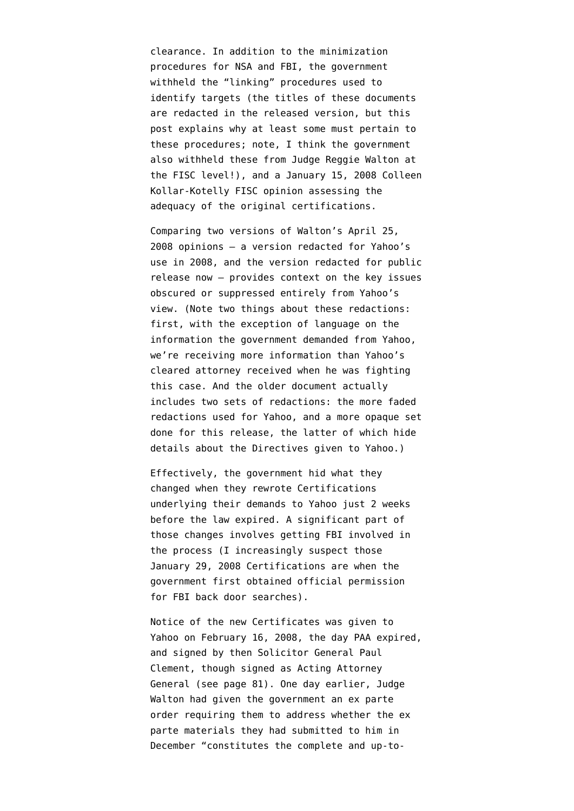clearance. In addition to the minimization procedures for NSA and FBI, the government withheld the "linking" procedures used to identify targets (the titles of these documents are redacted in the released version, but [this](http://www.emptywheel.net/2014/09/11/linking-procedures-in-the-yahoo-opinion/) [post](http://www.emptywheel.net/2014/09/11/linking-procedures-in-the-yahoo-opinion/) explains why at least some must pertain to these procedures; note, I think the government also withheld these from Judge Reggie Walton at the FISC level!), and a [January 15, 2008 Colleen](http://www.dni.gov/files/documents/0909/Memorandum%20Opinion%20and%20Order%2020080115.pdf) [Kollar-Kotelly FISC opinion](http://www.dni.gov/files/documents/0909/Memorandum%20Opinion%20and%20Order%2020080115.pdf) assessing the adequacy of the original certifications.

Comparing two versions of Walton's April 25, 2008 opinions — a [version redacted for Yahoo's](http://www.dni.gov/files/documents/0909/Redacted%20Memo%20Opinion%20and%20Order%2020080425.pdf) [use](http://www.dni.gov/files/documents/0909/Redacted%20Memo%20Opinion%20and%20Order%2020080425.pdf) in 2008, and the [version redacted for public](http://www.dni.gov/files/documents/0909/Memorandum%20Opinion%2020080425.pdf) [release now](http://www.dni.gov/files/documents/0909/Memorandum%20Opinion%2020080425.pdf) — provides context on the key issues obscured or suppressed entirely from Yahoo's view. (Note two things about these redactions: first, with the exception of language on the information the government demanded from Yahoo, we're receiving more information than Yahoo's cleared attorney received when he was fighting this case. And the older document actually includes two sets of redactions: the more faded redactions used for Yahoo, and a more opaque set done for this release, the latter of which hide details about the Directives given to Yahoo.)

Effectively, the government hid what they changed when they rewrote Certifications underlying their demands to Yahoo just 2 weeks before the law expired. A significant part of those changes involves getting FBI involved in the process (I increasingly suspect those January 29, 2008 Certifications are when [the](http://www.emptywheel.net/2014/09/13/the-curious-timing-of-fbis-back-door-searches/) [government first obtained official permission](http://www.emptywheel.net/2014/09/13/the-curious-timing-of-fbis-back-door-searches/) for FBI back door searches).

Notice of the new Certificates was given to Yahoo on February 16, 2008, the day PAA expired, and signed by then Solicitor General Paul Clement, though signed as Acting Attorney General ([see page 81](http://www.dni.gov/files/documents/0909/Classified%20Appendix%2020080220.pdf)). One day earlier, Judge Walton had given the government an ex parte order [requiring](http://www.dni.gov/files/documents/0909/Response%20to%20Ex%20Parte%20Order%2020080220.pdf) them to address whether the ex parte materials they had submitted to him in December "constitutes the complete and up-to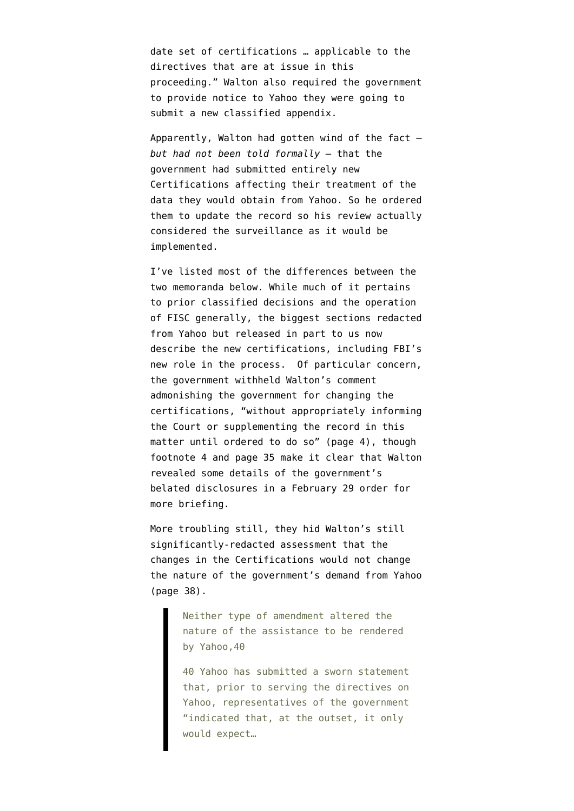date set of certifications … applicable to the directives that are at issue in this proceeding." Walton also required the government to provide notice to Yahoo they were going to submit a new classified appendix.

Apparently, Walton had gotten wind of the fact *but had not been told formally* — that the government had submitted entirely new Certifications affecting their treatment of the data they would obtain from Yahoo. So he ordered them to update the record so his review actually considered the surveillance as it would be implemented.

I've listed most of the differences between the two memoranda below. While much of it pertains to prior classified decisions and the operation of FISC generally, the biggest sections redacted from Yahoo but released in part to us now describe the new certifications, including FBI's new role in the process. Of particular concern, the government withheld Walton's comment admonishing the government for changing the certifications, "without appropriately informing the Court or supplementing the record in this matter until ordered to do so" ([page 4\)](http://www.dni.gov/files/documents/0909/Redacted%20Memo%20Opinion%20and%20Order%2020080425.pdf), though footnote 4 and page 35 make it clear that Walton revealed some details of the government's belated disclosures in a February 29 order for more briefing.

More troubling still, they hid Walton's still significantly-redacted assessment that the changes in the Certifications would not change the nature of the government's demand from Yahoo ([page 38\)](http://www.dni.gov/files/documents/0909/Memorandum%20Opinion%2020080425.pdf).

> Neither type of amendment altered the nature of the assistance to be rendered by Yahoo,40

40 Yahoo has submitted a sworn statement that, prior to serving the directives on Yahoo, representatives of the government "indicated that, at the outset, it only would expect…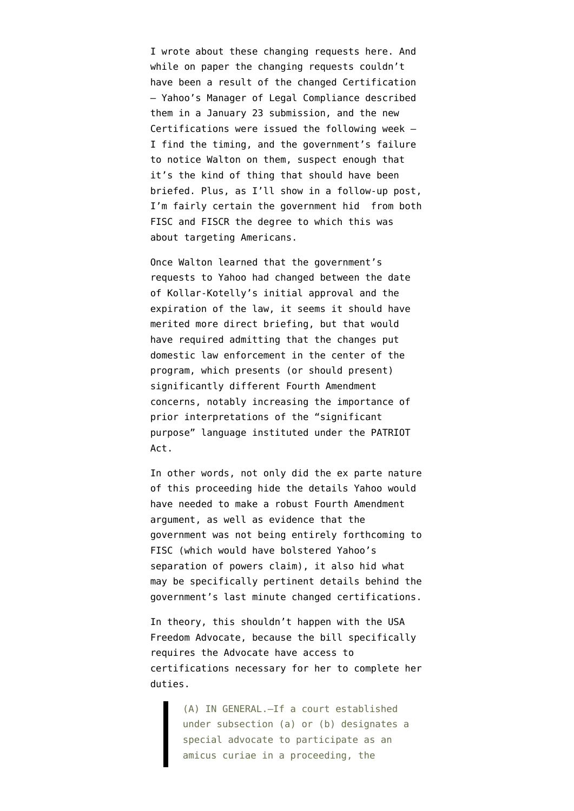I wrote about these changing requests [here](http://www.emptywheel.net/2014/09/15/a-yahoo-lesson-for-usa-freedom-act-mission-creep/). And while on paper the changing requests couldn't have been a result of the changed Certification — Yahoo's Manager of Legal Compliance [described](http://www.dni.gov/files/documents/0909/Yahoo%20Declaration%2020080123.pdf) them in a January 23 submission, and the new Certifications were issued the following week — I find the timing, and the government's failure to notice Walton on them, suspect enough that it's the kind of thing that should have been briefed. Plus, as I'll show in a follow-up post, I'm fairly certain the government hid from both FISC and FISCR the degree to which this was about targeting Americans.

Once Walton learned that the government's requests to Yahoo had changed between the date of Kollar-Kotelly's initial approval and the expiration of the law, it seems it should have merited more direct briefing, but that would have required admitting that the changes put domestic law enforcement in the center of the program, which presents (or should present) significantly different Fourth Amendment concerns, notably increasing the importance of prior interpretations of the "significant purpose" language instituted under the PATRIOT Act.

In other words, not only did the ex parte nature of this proceeding hide the details Yahoo would have needed to make a robust Fourth Amendment argument, as well as evidence that the government was not being entirely forthcoming to FISC (which would have bolstered Yahoo's separation of powers claim), it also hid what may be specifically pertinent details behind the government's last minute changed certifications.

In theory, this shouldn't happen with the USA Freedom Advocate, because the bill specifically requires the Advocate have access to certifications necessary for her to complete her duties.

> (A) IN GENERAL.—If a court established under subsection (a) or (b) designates a special advocate to participate as an amicus curiae in a proceeding, the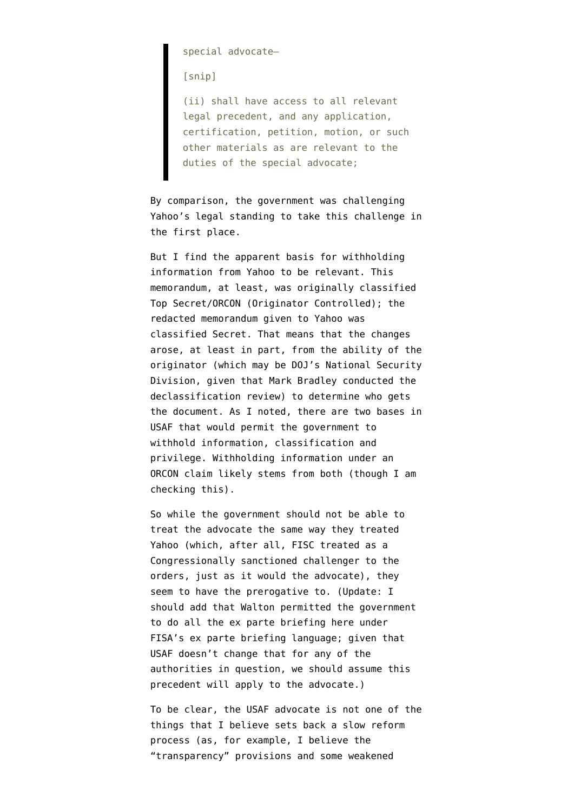special advocate—

[snip]

(ii) shall have access to all relevant legal precedent, and any application, certification, petition, motion, or such other materials as are relevant to the duties of the special advocate;

By comparison, the government was challenging Yahoo's legal standing to take this challenge in the first place.

But I find the apparent basis for withholding information from Yahoo to be relevant. This memorandum, at least, was originally classified Top Secret/ORCON (Originator Controlled); the redacted memorandum given to Yahoo was classified Secret. That means that the changes arose, at least in part, from the ability of the originator (which may be DOJ's National Security Division, given that Mark Bradley conducted the declassification review) to determine who gets the document. As I [noted,](http://www.emptywheel.net/2014/09/05/james-clapper-bates-stamp-and-gutting-the-fisa-advocate/) there are two bases in USAF that would permit the government to withhold information, classification and privilege. Withholding information under an ORCON claim likely stems from both (though I am checking this).

So while the government should not be able to treat the advocate the same way they treated Yahoo (which, after all, FISC treated as a Congressionally sanctioned challenger to the orders, just as it would the advocate), they seem to have the prerogative to. (Update: I should add that Walton permitted the government to do all the ex parte briefing here under FISA's ex parte briefing language; given that USAF doesn't change that for any of the authorities in question, we should assume this precedent will apply to the advocate.)

To be clear, the USAF advocate is not one of the things that I believe sets back a slow reform process (as, for example, I believe the ["transparency" provisions](http://www.emptywheel.net/2014/09/18/why-usafs-transparency-provisions-will-make-ongoing-organizing-difficult/) and some weakened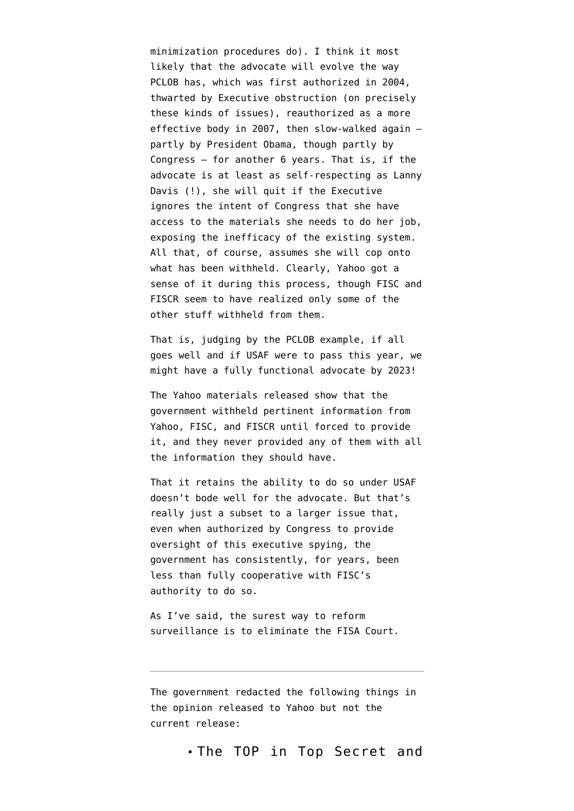minimization procedures do). I think it most likely that the advocate will evolve the way PCLOB has, which was first authorized in 2004, thwarted by Executive obstruction (on precisely these kinds of issues), reauthorized as a more effective body in 2007, then slow-walked again partly by President Obama, though partly by Congress — for another 6 years. That is, if the advocate is [at least as self-respecting as Lanny](http://www.huffingtonpost.com/lanny-davis/why-i-resigned-from-the-p_b_48817.html) [Davis](http://www.huffingtonpost.com/lanny-davis/why-i-resigned-from-the-p_b_48817.html) (!), she will quit if the Executive ignores the intent of Congress that she have access to the materials she needs to do her job, exposing the inefficacy of the existing system. All that, of course, assumes she will cop onto what has been withheld. Clearly, Yahoo got a sense of it during this process, though FISC and FISCR seem to have realized only some of the other stuff withheld from them.

That is, judging by the PCLOB example, if all goes well and if USAF were to pass this year, we might have a fully functional advocate by 2023!

The Yahoo materials released show that the government withheld pertinent information from Yahoo, FISC, and FISCR until forced to provide it, and they never provided any of them with all the information they should have.

That it retains the ability to do so under USAF doesn't bode well for the advocate. But that's really just a subset to a larger issue that, even when authorized by Congress to provide oversight of this executive spying, the government has consistently, for years, been less than fully cooperative with FISC's authority to do so.

As [I've said](http://www.emptywheel.net/2014/08/07/a-better-reform-than-usa-freedom-get-rid-of-the-fisa-court/), the surest way to reform surveillance is to eliminate the FISA Court.

The government redacted the following things in the [opinion released to Yahoo](http://www.dni.gov/files/documents/0909/Redacted%20Memo%20Opinion%20and%20Order%2020080425.pdf) but not [the](http://www.dni.gov/files/documents/0909/Memorandum%20Opinion%2020080425.pdf) [current release:](http://www.dni.gov/files/documents/0909/Memorandum%20Opinion%2020080425.pdf)

The TOP in Top Secret and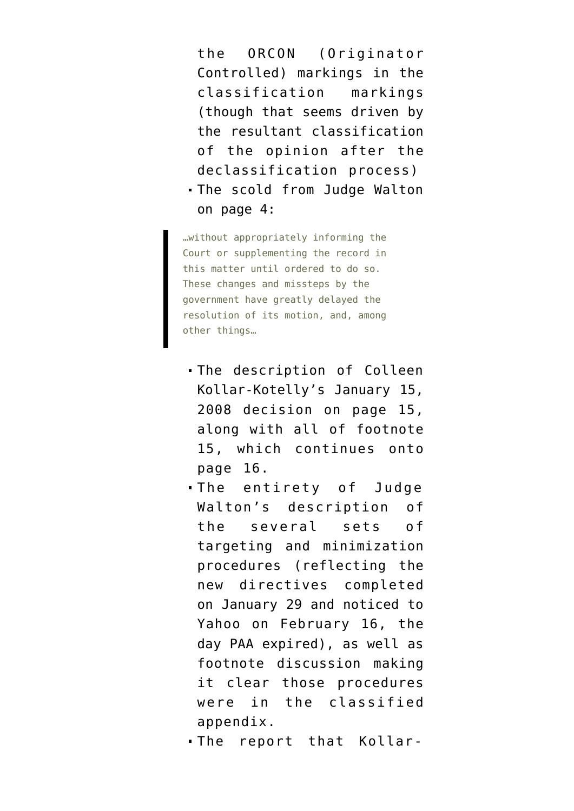the ORCON (Originator Controlled) markings in the classification markings (though that seems driven by the resultant classification of the opinion after the declassification process)

The scold from Judge Walton on page 4:

…without appropriately informing the Court or supplementing the record in this matter until ordered to do so. These changes and missteps by the government have greatly delayed the resolution of its motion, and, among other things…

- The description of Colleen Kollar-Kotelly's January 15, 2008 decision on page 15, along with all of footnote 15, which continues onto page 16.
- The entirety of Judge Walton's description of the several sets of targeting and minimization procedures (reflecting the new directives completed on January 29 and noticed to Yahoo on February 16, the day PAA expired), as well as footnote discussion making it clear those procedures were in the classified appendix.
- The report that Kollar-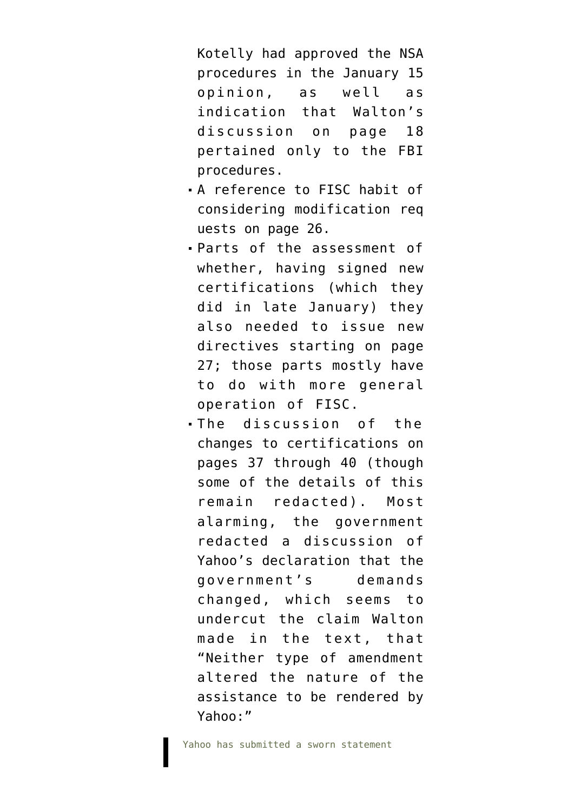Kotelly had approved the NSA procedures in the January 15 opinion, as well as indication that Walton's discussion on page 18 pertained only to the FBI procedures.

- A reference to FISC habit of considering modification req uests on page 26.
- Parts of the assessment of whether, having signed new certifications (which they did in late January) they also needed to issue new directives starting on page 27; those parts mostly have to do with more general operation of FISC.
- The discussion of the changes to certifications on pages 37 through 40 (though some of the details of this remain redacted). Most alarming, the government redacted a discussion of Yahoo's declaration that the government's demands changed, which seems to undercut the claim Walton made in the text, that "Neither type of amendment altered the nature of the assistance to be rendered by Yahoo:"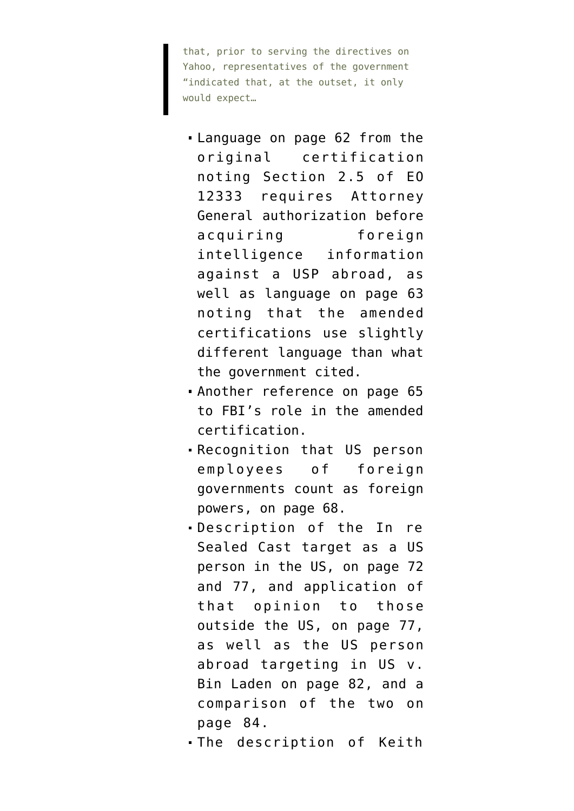that, prior to serving the directives on Yahoo, representatives of the government "indicated that, at the outset, it only would expect…

- Language on page 62 from the original certification noting Section 2.5 of EO 12333 requires Attorney General authorization before acquiring foreign intelligence information against a USP abroad, as well as language on page 63 noting that the amended certifications use slightly different language than what the government cited.
- Another reference on page 65 to FBI's role in the amended certification.
- Recognition that US person employees of foreign governments count as foreign powers, on page 68.
- Description of the In re Sealed Cast target as a US person in the US, on page 72 and 77, and application of that opinion to those outside the US, on page 77, as well as the US person abroad targeting in US v. Bin Laden on page 82, and a comparison of the two on page 84.
- The description of Keith